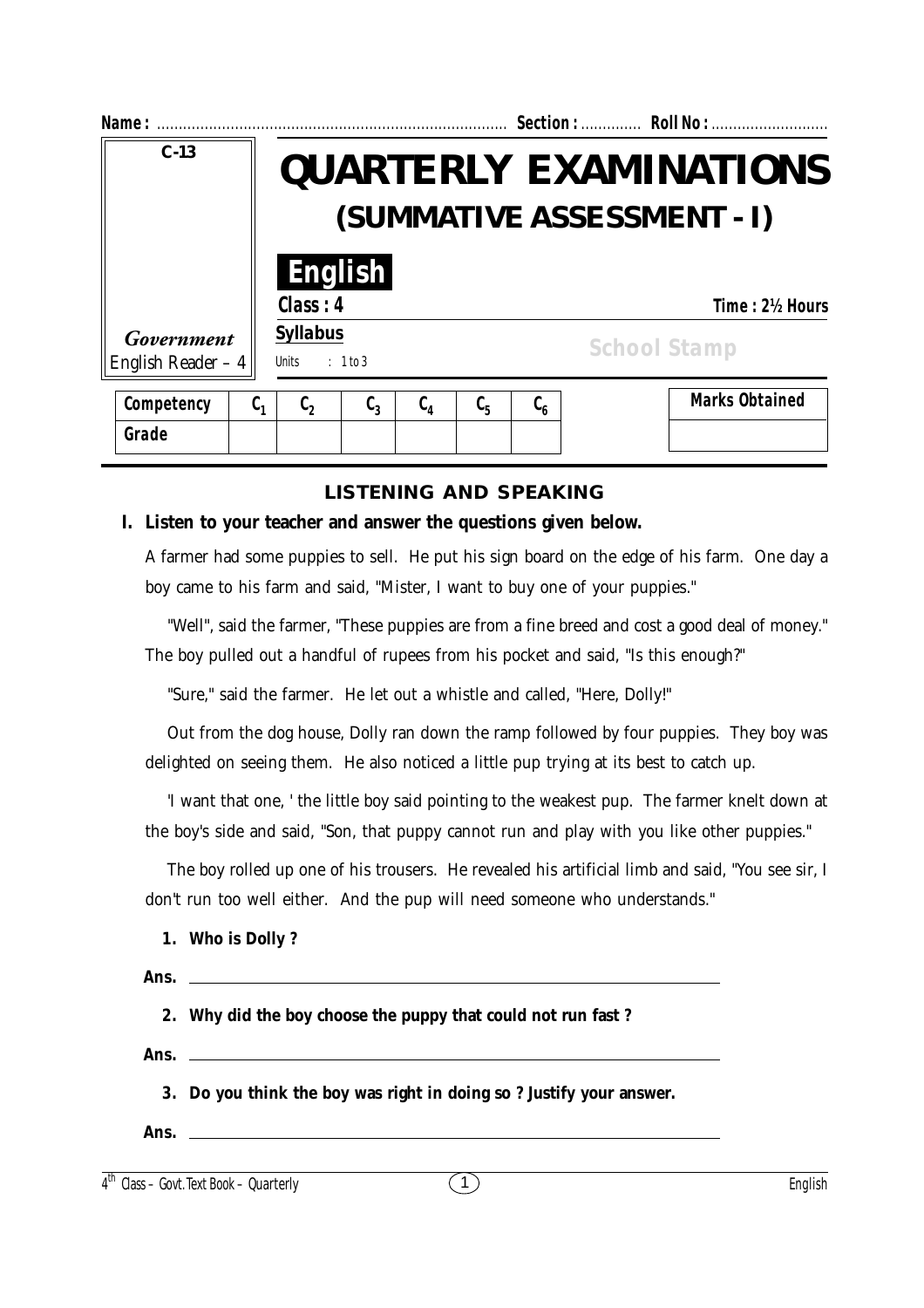| Name:                             |                |                                                             |                    |                  |                               |                                       |                     | Section:  Roll No:    |
|-----------------------------------|----------------|-------------------------------------------------------------|--------------------|------------------|-------------------------------|---------------------------------------|---------------------|-----------------------|
| $C - 13$                          |                | <b>QUARTERLY EXAMINATIONS</b><br>(SUMMATIVE ASSESSMENT - I) |                    |                  |                               |                                       |                     |                       |
|                                   |                | Class: 4                                                    | <b>English</b>     |                  |                               |                                       |                     | Time: 2½ Hours        |
| Government<br>English Reader $-4$ |                | <b>Syllabus</b><br><b>Units</b>                             | : 1 to 3           |                  |                               |                                       | <b>School Stamp</b> |                       |
| Competency                        | ს <sub>1</sub> | c,                                                          | $\mathfrak{c}_{3}$ | $\mathfrak{c}_4$ | $\mathfrak{c}_{\mathfrak{s}}$ | $\mathfrak{c}_{\scriptscriptstyle 6}$ |                     | <b>Marks Obtained</b> |
| Grade                             |                |                                                             |                    |                  |                               |                                       |                     |                       |

# **LISTENING AND SPEAKING**

### **I. Listen to your teacher and answer the questions given below.**

A farmer had some puppies to sell. He put his sign board on the edge of his farm. One day a boy came to his farm and said, "Mister, I want to buy one of your puppies."

"Well", said the farmer, "These puppies are from a fine breed and cost a good deal of money." The boy pulled out a handful of rupees from his pocket and said, "Is this enough?"

"Sure," said the farmer. He let out a whistle and called, "Here, Dolly!"

Out from the dog house, Dolly ran down the ramp followed by four puppies. They boy was delighted on seeing them. He also noticed a little pup trying at its best to catch up.

'I want that one, ' the little boy said pointing to the weakest pup. The farmer knelt down at the boy's side and said, "Son, that puppy cannot run and play with you like other puppies."

The boy rolled up one of his trousers. He revealed his artificial limb and said, "You see sir, I don't run too well either. And the pup will need someone who understands."

|  | 1. Who is Dolly? |  |
|--|------------------|--|
|  |                  |  |

| 2. Why did the boy choose the puppy that could not run fast?        |
|---------------------------------------------------------------------|
| Ans.                                                                |
| 3. Do you think the boy was right in doing so? Justify your answer. |
| Ans. $\qquad \qquad$                                                |

 $4^{\text{th}}$  Class – Govt. Text Book – Quarterly  $(1)$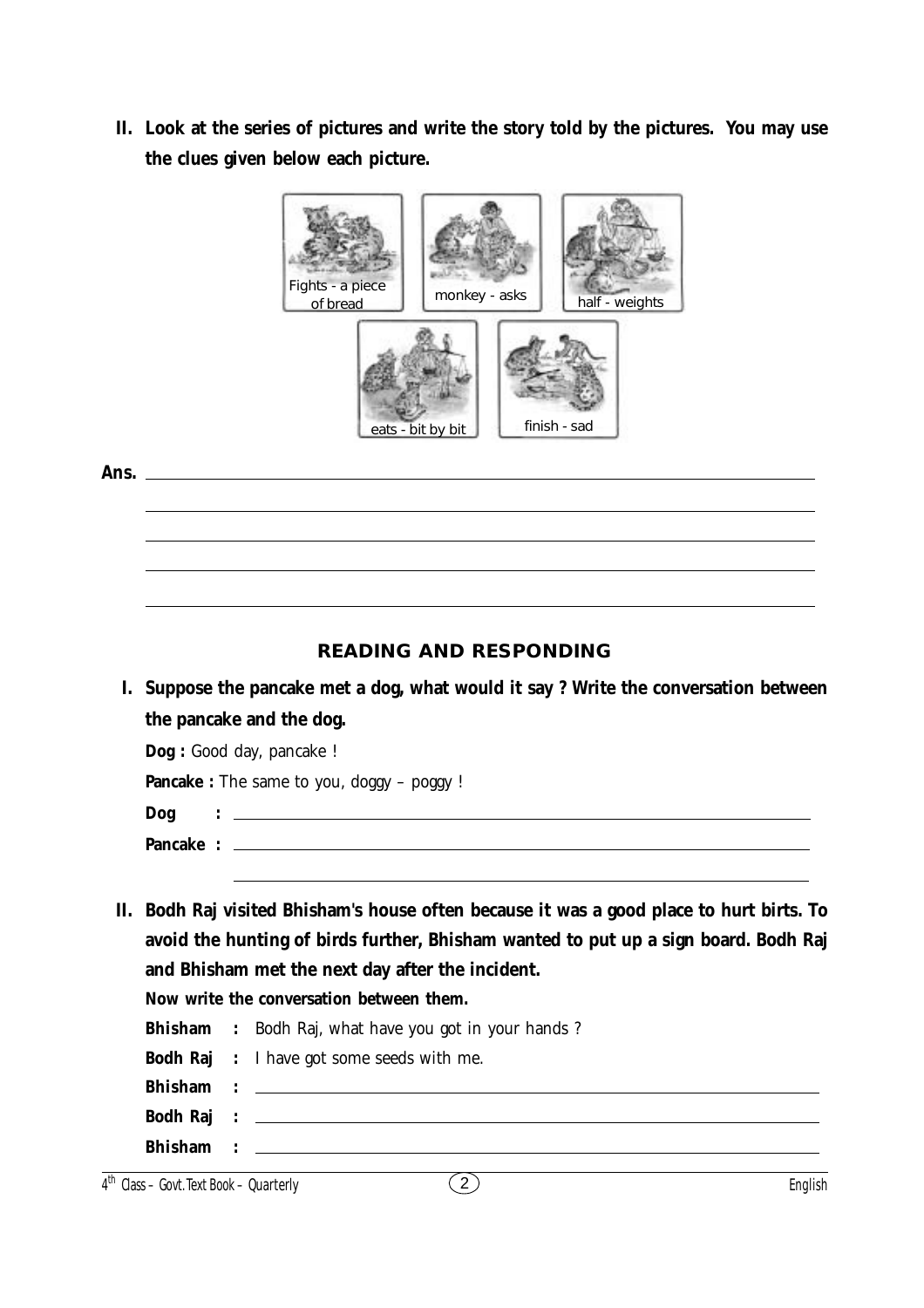**II. Look at the series of pictures and write the story told by the pictures. You may use the clues given below each picture.**



#### **Ans.**

# **READING AND RESPONDING**

**I. Suppose the pancake met a dog, what would it say ? Write the conversation between the pancake and the dog.**

**Dog :** Good day, pancake !

Pancake : The same to you, doggy - poggy !

| <b>Dog</b> |  |
|------------|--|
| Pancake :  |  |

**II. Bodh Raj visited Bhisham's house often because it was a good place to hurt birts. To avoid the hunting of birds further, Bhisham wanted to put up a sign board. Bodh Raj and Bhisham met the next day after the incident.**

**Now write the conversation between them.**

|  | <b>Bhisham</b> : Bodh Raj, what have you got in your hands? |
|--|-------------------------------------------------------------|
|  | <b>Bodh Raj</b> : I have got some seeds with me.            |
|  |                                                             |
|  |                                                             |
|  |                                                             |
|  |                                                             |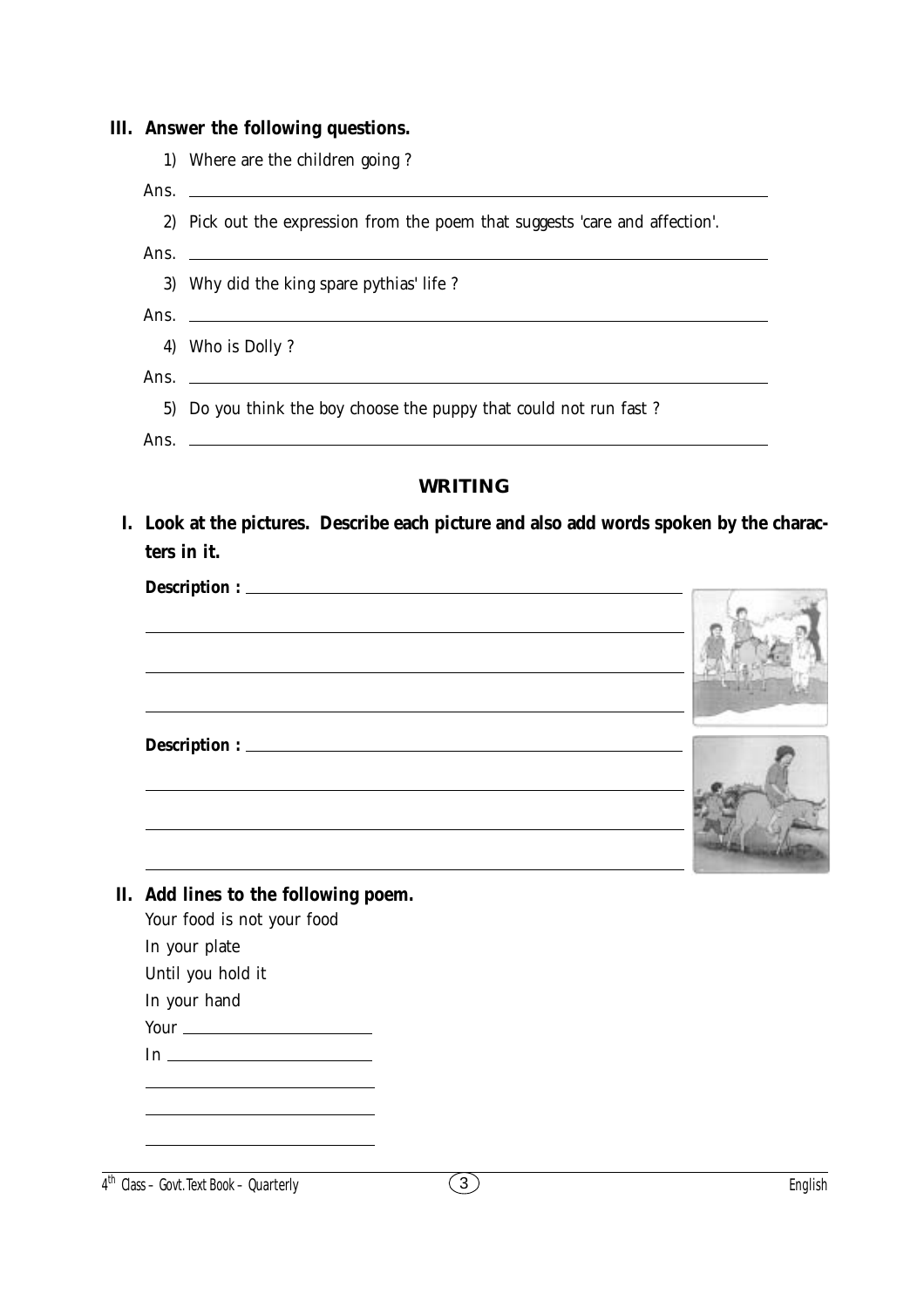|      | 1) Where are the children going?                                                                                      |  |
|------|-----------------------------------------------------------------------------------------------------------------------|--|
|      |                                                                                                                       |  |
|      | 2) Pick out the expression from the poem that suggests 'care and affection'.                                          |  |
|      |                                                                                                                       |  |
|      | 3) Why did the king spare pythias' life?                                                                              |  |
| Ans. | <u> 1989 - Johann Harry Harry Harry Harry Harry Harry Harry Harry Harry Harry Harry Harry Harry Harry Harry Harry</u> |  |
| 4)   | Who is Dolly?                                                                                                         |  |
|      | Ans. $\Box$                                                                                                           |  |
|      | 5) Do you think the boy choose the puppy that could not run fast?                                                     |  |
|      | Ans. $\Box$                                                                                                           |  |
|      | <b>WRITING</b>                                                                                                        |  |
|      | Look at the pictures. Describe each picture and also add words spoken by the charac-                                  |  |
|      | ters in it.                                                                                                           |  |
|      |                                                                                                                       |  |
|      |                                                                                                                       |  |
|      |                                                                                                                       |  |
|      |                                                                                                                       |  |
|      |                                                                                                                       |  |
|      | and the control of the control of the control of the control of the control of the control of the control of the      |  |
|      |                                                                                                                       |  |
|      |                                                                                                                       |  |
|      |                                                                                                                       |  |
|      |                                                                                                                       |  |
|      |                                                                                                                       |  |
|      | II. Add lines to the following poem.                                                                                  |  |
|      | Your food is not your food                                                                                            |  |
|      | In your plate                                                                                                         |  |
|      | Until you hold it<br>In your hand                                                                                     |  |
|      |                                                                                                                       |  |

# $\overline{4^{th}}$  Class – Govt. Text Book – **Quarterly**  $\overline{3}$  English